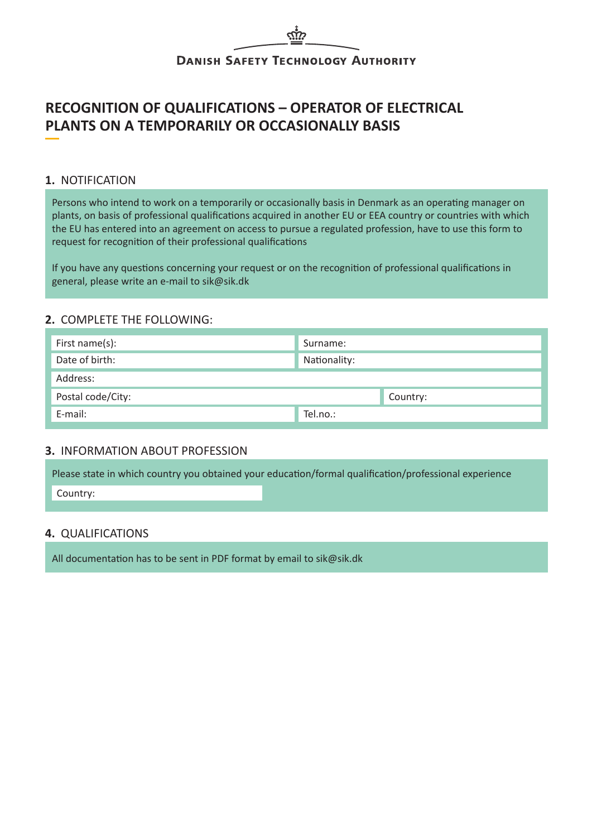# **DANISH SAFETY TECHNOLOGY AUTHORITY**

# **RECOGNITION OF QUALIFICATIONS – OPERATOR OF ELECTRICAL PLANTS ON A TEMPORARILY OR OCCASIONALLY BASIS**

# **1.** NOTIFICATION

Persons who intend to work on a temporarily or occasionally basis in Denmark as an operating manager on plants, on basis of professional qualifications acquired in another EU or EEA country or countries with which the EU has entered into an agreement on access to pursue a regulated profession, have to use this form to request for recognition of their professional qualifications

If you have any questions concerning your request or on the recognition of professional qualifications in general, please write an e-mail to sik@sik.dk

## **2.** COMPLETE THE FOLLOWING:

| First name(s):    | Surname:     |
|-------------------|--------------|
| Date of birth:    | Nationality: |
| Address:          |              |
| Postal code/City: | Country:     |
| E-mail:           | Tel.no.:     |

#### **3.** INFORMATION ABOUT PROFESSION

|          | Please state in which country you obtained your education/formal qualification/professional experience |
|----------|--------------------------------------------------------------------------------------------------------|
| Country: |                                                                                                        |

#### **4.** QUALIFICATIONS

All documentation has to be sent in PDF format by email to sik@sik.dk